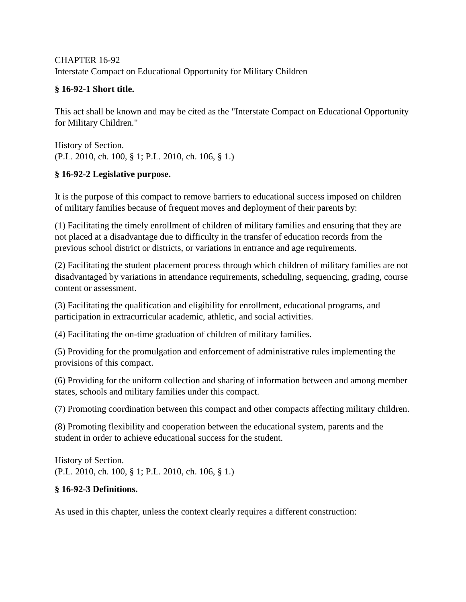## CHAPTER 16-92 Interstate Compact on Educational Opportunity for Military Children

## **§ 16-92-1 Short title.**

This act shall be known and may be cited as the "Interstate Compact on Educational Opportunity for Military Children."

History of Section. (P.L. 2010, ch. 100, § 1; P.L. 2010, ch. 106, § 1.)

## **§ 16-92-2 Legislative purpose.**

It is the purpose of this compact to remove barriers to educational success imposed on children of military families because of frequent moves and deployment of their parents by:

(1) Facilitating the timely enrollment of children of military families and ensuring that they are not placed at a disadvantage due to difficulty in the transfer of education records from the previous school district or districts, or variations in entrance and age requirements.

(2) Facilitating the student placement process through which children of military families are not disadvantaged by variations in attendance requirements, scheduling, sequencing, grading, course content or assessment.

(3) Facilitating the qualification and eligibility for enrollment, educational programs, and participation in extracurricular academic, athletic, and social activities.

(4) Facilitating the on-time graduation of children of military families.

(5) Providing for the promulgation and enforcement of administrative rules implementing the provisions of this compact.

(6) Providing for the uniform collection and sharing of information between and among member states, schools and military families under this compact.

(7) Promoting coordination between this compact and other compacts affecting military children.

(8) Promoting flexibility and cooperation between the educational system, parents and the student in order to achieve educational success for the student.

History of Section. (P.L. 2010, ch. 100, § 1; P.L. 2010, ch. 106, § 1.)

# **§ 16-92-3 Definitions.**

As used in this chapter, unless the context clearly requires a different construction: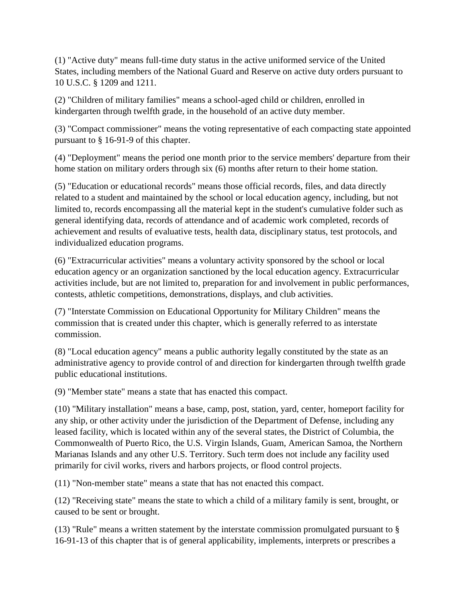(1) "Active duty" means full-time duty status in the active uniformed service of the United States, including members of the National Guard and Reserve on active duty orders pursuant to 10 U.S.C. § 1209 and 1211.

(2) "Children of military families" means a school-aged child or children, enrolled in kindergarten through twelfth grade, in the household of an active duty member.

(3) "Compact commissioner" means the voting representative of each compacting state appointed pursuant to § 16-91-9 of this chapter.

(4) "Deployment" means the period one month prior to the service members' departure from their home station on military orders through six (6) months after return to their home station.

(5) "Education or educational records" means those official records, files, and data directly related to a student and maintained by the school or local education agency, including, but not limited to, records encompassing all the material kept in the student's cumulative folder such as general identifying data, records of attendance and of academic work completed, records of achievement and results of evaluative tests, health data, disciplinary status, test protocols, and individualized education programs.

(6) "Extracurricular activities" means a voluntary activity sponsored by the school or local education agency or an organization sanctioned by the local education agency. Extracurricular activities include, but are not limited to, preparation for and involvement in public performances, contests, athletic competitions, demonstrations, displays, and club activities.

(7) "Interstate Commission on Educational Opportunity for Military Children" means the commission that is created under this chapter, which is generally referred to as interstate commission.

(8) "Local education agency" means a public authority legally constituted by the state as an administrative agency to provide control of and direction for kindergarten through twelfth grade public educational institutions.

(9) "Member state" means a state that has enacted this compact.

(10) "Military installation" means a base, camp, post, station, yard, center, homeport facility for any ship, or other activity under the jurisdiction of the Department of Defense, including any leased facility, which is located within any of the several states, the District of Columbia, the Commonwealth of Puerto Rico, the U.S. Virgin Islands, Guam, American Samoa, the Northern Marianas Islands and any other U.S. Territory. Such term does not include any facility used primarily for civil works, rivers and harbors projects, or flood control projects.

(11) "Non-member state" means a state that has not enacted this compact.

(12) "Receiving state" means the state to which a child of a military family is sent, brought, or caused to be sent or brought.

(13) "Rule" means a written statement by the interstate commission promulgated pursuant to § 16-91-13 of this chapter that is of general applicability, implements, interprets or prescribes a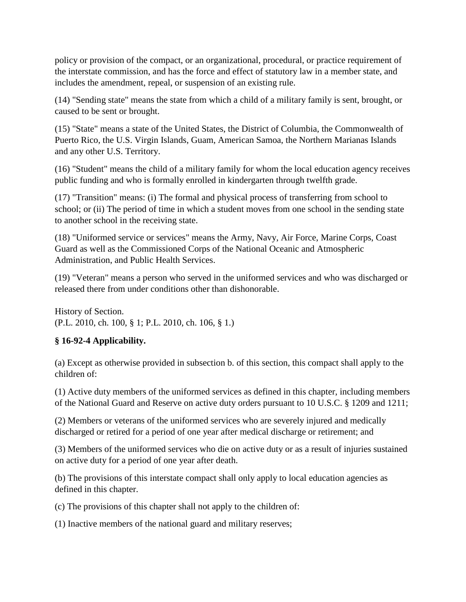policy or provision of the compact, or an organizational, procedural, or practice requirement of the interstate commission, and has the force and effect of statutory law in a member state, and includes the amendment, repeal, or suspension of an existing rule.

(14) "Sending state" means the state from which a child of a military family is sent, brought, or caused to be sent or brought.

(15) "State" means a state of the United States, the District of Columbia, the Commonwealth of Puerto Rico, the U.S. Virgin Islands, Guam, American Samoa, the Northern Marianas Islands and any other U.S. Territory.

(16) "Student" means the child of a military family for whom the local education agency receives public funding and who is formally enrolled in kindergarten through twelfth grade.

(17) "Transition" means: (i) The formal and physical process of transferring from school to school; or (ii) The period of time in which a student moves from one school in the sending state to another school in the receiving state.

(18) "Uniformed service or services" means the Army, Navy, Air Force, Marine Corps, Coast Guard as well as the Commissioned Corps of the National Oceanic and Atmospheric Administration, and Public Health Services.

(19) "Veteran" means a person who served in the uniformed services and who was discharged or released there from under conditions other than dishonorable.

History of Section. (P.L. 2010, ch. 100, § 1; P.L. 2010, ch. 106, § 1.)

## **§ 16-92-4 Applicability.**

(a) Except as otherwise provided in subsection b. of this section, this compact shall apply to the children of:

(1) Active duty members of the uniformed services as defined in this chapter, including members of the National Guard and Reserve on active duty orders pursuant to 10 U.S.C. § 1209 and 1211;

(2) Members or veterans of the uniformed services who are severely injured and medically discharged or retired for a period of one year after medical discharge or retirement; and

(3) Members of the uniformed services who die on active duty or as a result of injuries sustained on active duty for a period of one year after death.

(b) The provisions of this interstate compact shall only apply to local education agencies as defined in this chapter.

(c) The provisions of this chapter shall not apply to the children of:

(1) Inactive members of the national guard and military reserves;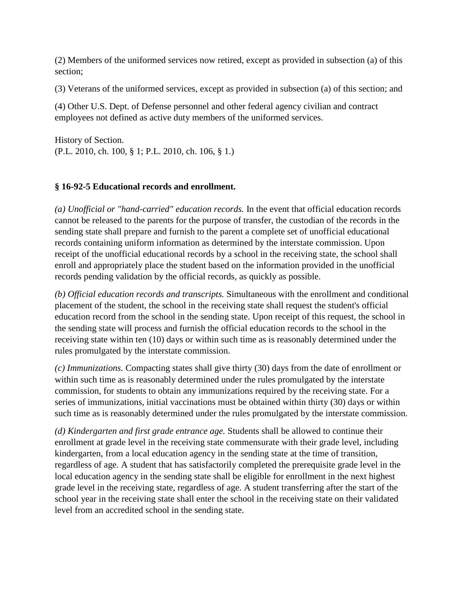(2) Members of the uniformed services now retired, except as provided in subsection (a) of this section;

(3) Veterans of the uniformed services, except as provided in subsection (a) of this section; and

(4) Other U.S. Dept. of Defense personnel and other federal agency civilian and contract employees not defined as active duty members of the uniformed services.

History of Section. (P.L. 2010, ch. 100, § 1; P.L. 2010, ch. 106, § 1.)

## **§ 16-92-5 Educational records and enrollment.**

*(a) Unofficial or "hand-carried" education records.* In the event that official education records cannot be released to the parents for the purpose of transfer, the custodian of the records in the sending state shall prepare and furnish to the parent a complete set of unofficial educational records containing uniform information as determined by the interstate commission. Upon receipt of the unofficial educational records by a school in the receiving state, the school shall enroll and appropriately place the student based on the information provided in the unofficial records pending validation by the official records, as quickly as possible.

*(b) Official education records and transcripts.* Simultaneous with the enrollment and conditional placement of the student, the school in the receiving state shall request the student's official education record from the school in the sending state. Upon receipt of this request, the school in the sending state will process and furnish the official education records to the school in the receiving state within ten (10) days or within such time as is reasonably determined under the rules promulgated by the interstate commission.

*(c) Immunizations.* Compacting states shall give thirty (30) days from the date of enrollment or within such time as is reasonably determined under the rules promulgated by the interstate commission, for students to obtain any immunizations required by the receiving state. For a series of immunizations, initial vaccinations must be obtained within thirty (30) days or within such time as is reasonably determined under the rules promulgated by the interstate commission.

*(d) Kindergarten and first grade entrance age.* Students shall be allowed to continue their enrollment at grade level in the receiving state commensurate with their grade level, including kindergarten, from a local education agency in the sending state at the time of transition, regardless of age. A student that has satisfactorily completed the prerequisite grade level in the local education agency in the sending state shall be eligible for enrollment in the next highest grade level in the receiving state, regardless of age. A student transferring after the start of the school year in the receiving state shall enter the school in the receiving state on their validated level from an accredited school in the sending state.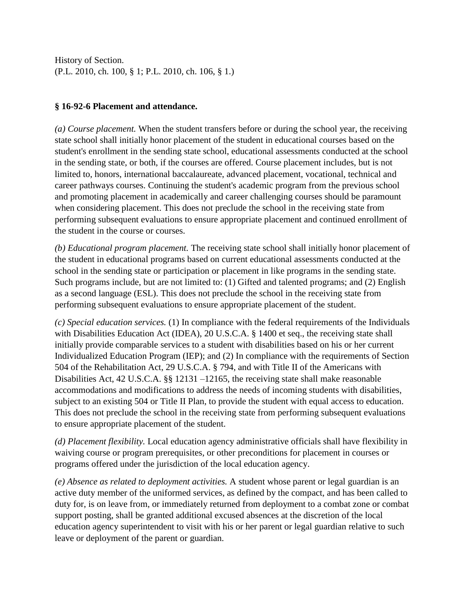## **§ 16-92-6 Placement and attendance.**

*(a) Course placement.* When the student transfers before or during the school year, the receiving state school shall initially honor placement of the student in educational courses based on the student's enrollment in the sending state school, educational assessments conducted at the school in the sending state, or both, if the courses are offered. Course placement includes, but is not limited to, honors, international baccalaureate, advanced placement, vocational, technical and career pathways courses. Continuing the student's academic program from the previous school and promoting placement in academically and career challenging courses should be paramount when considering placement. This does not preclude the school in the receiving state from performing subsequent evaluations to ensure appropriate placement and continued enrollment of the student in the course or courses.

*(b) Educational program placement.* The receiving state school shall initially honor placement of the student in educational programs based on current educational assessments conducted at the school in the sending state or participation or placement in like programs in the sending state. Such programs include, but are not limited to: (1) Gifted and talented programs; and (2) English as a second language (ESL). This does not preclude the school in the receiving state from performing subsequent evaluations to ensure appropriate placement of the student.

*(c) Special education services.* (1) In compliance with the federal requirements of the Individuals with Disabilities Education Act (IDEA), 20 U.S.C.A. § 1400 et seq., the receiving state shall initially provide comparable services to a student with disabilities based on his or her current Individualized Education Program (IEP); and (2) In compliance with the requirements of Section 504 of the Rehabilitation Act, 29 U.S.C.A. § 794, and with Title II of the Americans with Disabilities Act, 42 U.S.C.A. §§ 12131 –12165, the receiving state shall make reasonable accommodations and modifications to address the needs of incoming students with disabilities, subject to an existing 504 or Title II Plan, to provide the student with equal access to education. This does not preclude the school in the receiving state from performing subsequent evaluations to ensure appropriate placement of the student.

*(d) Placement flexibility.* Local education agency administrative officials shall have flexibility in waiving course or program prerequisites, or other preconditions for placement in courses or programs offered under the jurisdiction of the local education agency.

*(e) Absence as related to deployment activities.* A student whose parent or legal guardian is an active duty member of the uniformed services, as defined by the compact, and has been called to duty for, is on leave from, or immediately returned from deployment to a combat zone or combat support posting, shall be granted additional excused absences at the discretion of the local education agency superintendent to visit with his or her parent or legal guardian relative to such leave or deployment of the parent or guardian.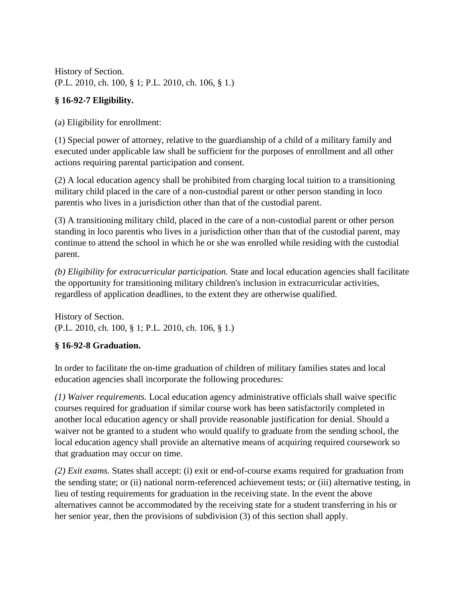# **§ 16-92-7 Eligibility.**

(a) Eligibility for enrollment:

(1) Special power of attorney, relative to the guardianship of a child of a military family and executed under applicable law shall be sufficient for the purposes of enrollment and all other actions requiring parental participation and consent.

(2) A local education agency shall be prohibited from charging local tuition to a transitioning military child placed in the care of a non-custodial parent or other person standing in loco parentis who lives in a jurisdiction other than that of the custodial parent.

(3) A transitioning military child, placed in the care of a non-custodial parent or other person standing in loco parentis who lives in a jurisdiction other than that of the custodial parent, may continue to attend the school in which he or she was enrolled while residing with the custodial parent.

*(b) Eligibility for extracurricular participation.* State and local education agencies shall facilitate the opportunity for transitioning military children's inclusion in extracurricular activities, regardless of application deadlines, to the extent they are otherwise qualified.

History of Section. (P.L. 2010, ch. 100, § 1; P.L. 2010, ch. 106, § 1.)

# **§ 16-92-8 Graduation.**

In order to facilitate the on-time graduation of children of military families states and local education agencies shall incorporate the following procedures:

*(1) Waiver requirements.* Local education agency administrative officials shall waive specific courses required for graduation if similar course work has been satisfactorily completed in another local education agency or shall provide reasonable justification for denial. Should a waiver not be granted to a student who would qualify to graduate from the sending school, the local education agency shall provide an alternative means of acquiring required coursework so that graduation may occur on time.

*(2) Exit exams.* States shall accept: (i) exit or end-of-course exams required for graduation from the sending state; or (ii) national norm-referenced achievement tests; or (iii) alternative testing, in lieu of testing requirements for graduation in the receiving state. In the event the above alternatives cannot be accommodated by the receiving state for a student transferring in his or her senior year, then the provisions of subdivision (3) of this section shall apply.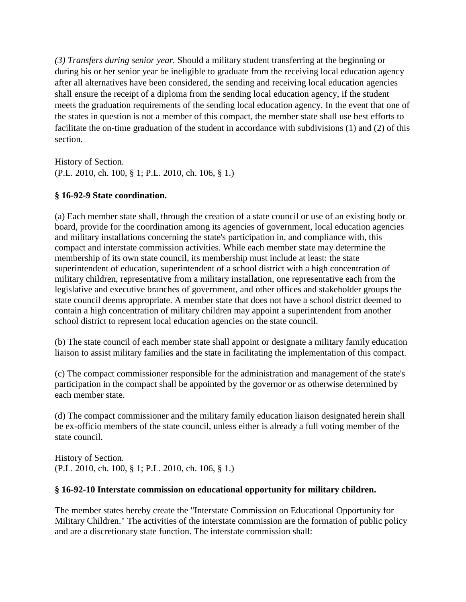*(3) Transfers during senior year.* Should a military student transferring at the beginning or during his or her senior year be ineligible to graduate from the receiving local education agency after all alternatives have been considered, the sending and receiving local education agencies shall ensure the receipt of a diploma from the sending local education agency, if the student meets the graduation requirements of the sending local education agency. In the event that one of the states in question is not a member of this compact, the member state shall use best efforts to facilitate the on-time graduation of the student in accordance with subdivisions (1) and (2) of this section.

History of Section. (P.L. 2010, ch. 100, § 1; P.L. 2010, ch. 106, § 1.)

## **§ 16-92-9 State coordination.**

(a) Each member state shall, through the creation of a state council or use of an existing body or board, provide for the coordination among its agencies of government, local education agencies and military installations concerning the state's participation in, and compliance with, this compact and interstate commission activities. While each member state may determine the membership of its own state council, its membership must include at least: the state superintendent of education, superintendent of a school district with a high concentration of military children, representative from a military installation, one representative each from the legislative and executive branches of government, and other offices and stakeholder groups the state council deems appropriate. A member state that does not have a school district deemed to contain a high concentration of military children may appoint a superintendent from another school district to represent local education agencies on the state council.

(b) The state council of each member state shall appoint or designate a military family education liaison to assist military families and the state in facilitating the implementation of this compact.

(c) The compact commissioner responsible for the administration and management of the state's participation in the compact shall be appointed by the governor or as otherwise determined by each member state.

(d) The compact commissioner and the military family education liaison designated herein shall be ex-officio members of the state council, unless either is already a full voting member of the state council.

History of Section. (P.L. 2010, ch. 100, § 1; P.L. 2010, ch. 106, § 1.)

#### **§ 16-92-10 Interstate commission on educational opportunity for military children.**

The member states hereby create the "Interstate Commission on Educational Opportunity for Military Children." The activities of the interstate commission are the formation of public policy and are a discretionary state function. The interstate commission shall: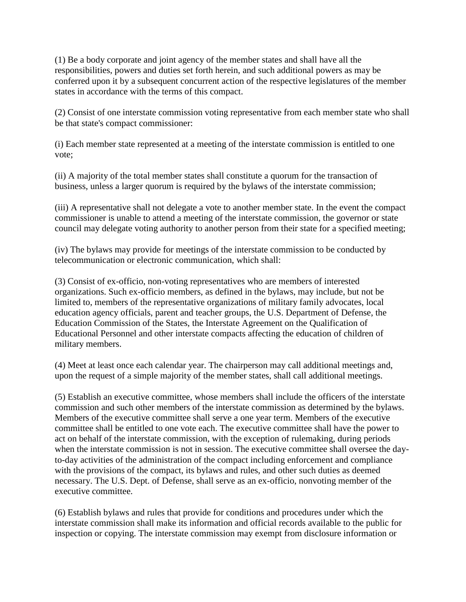(1) Be a body corporate and joint agency of the member states and shall have all the responsibilities, powers and duties set forth herein, and such additional powers as may be conferred upon it by a subsequent concurrent action of the respective legislatures of the member states in accordance with the terms of this compact.

(2) Consist of one interstate commission voting representative from each member state who shall be that state's compact commissioner:

(i) Each member state represented at a meeting of the interstate commission is entitled to one vote;

(ii) A majority of the total member states shall constitute a quorum for the transaction of business, unless a larger quorum is required by the bylaws of the interstate commission;

(iii) A representative shall not delegate a vote to another member state. In the event the compact commissioner is unable to attend a meeting of the interstate commission, the governor or state council may delegate voting authority to another person from their state for a specified meeting;

(iv) The bylaws may provide for meetings of the interstate commission to be conducted by telecommunication or electronic communication, which shall:

(3) Consist of ex-officio, non-voting representatives who are members of interested organizations. Such ex-officio members, as defined in the bylaws, may include, but not be limited to, members of the representative organizations of military family advocates, local education agency officials, parent and teacher groups, the U.S. Department of Defense, the Education Commission of the States, the Interstate Agreement on the Qualification of Educational Personnel and other interstate compacts affecting the education of children of military members.

(4) Meet at least once each calendar year. The chairperson may call additional meetings and, upon the request of a simple majority of the member states, shall call additional meetings.

(5) Establish an executive committee, whose members shall include the officers of the interstate commission and such other members of the interstate commission as determined by the bylaws. Members of the executive committee shall serve a one year term. Members of the executive committee shall be entitled to one vote each. The executive committee shall have the power to act on behalf of the interstate commission, with the exception of rulemaking, during periods when the interstate commission is not in session. The executive committee shall oversee the dayto-day activities of the administration of the compact including enforcement and compliance with the provisions of the compact, its bylaws and rules, and other such duties as deemed necessary. The U.S. Dept. of Defense, shall serve as an ex-officio, nonvoting member of the executive committee.

(6) Establish bylaws and rules that provide for conditions and procedures under which the interstate commission shall make its information and official records available to the public for inspection or copying. The interstate commission may exempt from disclosure information or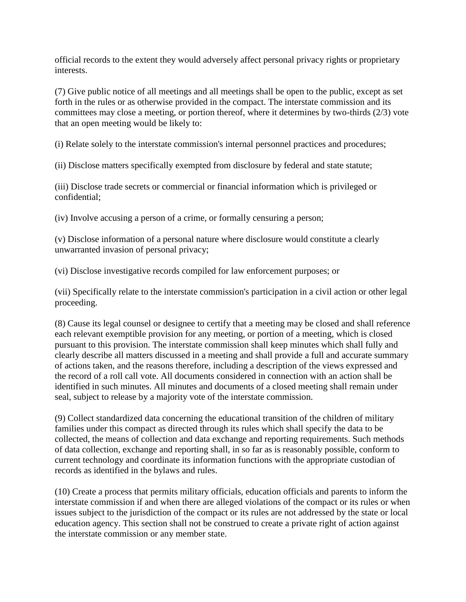official records to the extent they would adversely affect personal privacy rights or proprietary interests.

(7) Give public notice of all meetings and all meetings shall be open to the public, except as set forth in the rules or as otherwise provided in the compact. The interstate commission and its committees may close a meeting, or portion thereof, where it determines by two-thirds (2/3) vote that an open meeting would be likely to:

(i) Relate solely to the interstate commission's internal personnel practices and procedures;

(ii) Disclose matters specifically exempted from disclosure by federal and state statute;

(iii) Disclose trade secrets or commercial or financial information which is privileged or confidential;

(iv) Involve accusing a person of a crime, or formally censuring a person;

(v) Disclose information of a personal nature where disclosure would constitute a clearly unwarranted invasion of personal privacy;

(vi) Disclose investigative records compiled for law enforcement purposes; or

(vii) Specifically relate to the interstate commission's participation in a civil action or other legal proceeding.

(8) Cause its legal counsel or designee to certify that a meeting may be closed and shall reference each relevant exemptible provision for any meeting, or portion of a meeting, which is closed pursuant to this provision. The interstate commission shall keep minutes which shall fully and clearly describe all matters discussed in a meeting and shall provide a full and accurate summary of actions taken, and the reasons therefore, including a description of the views expressed and the record of a roll call vote. All documents considered in connection with an action shall be identified in such minutes. All minutes and documents of a closed meeting shall remain under seal, subject to release by a majority vote of the interstate commission.

(9) Collect standardized data concerning the educational transition of the children of military families under this compact as directed through its rules which shall specify the data to be collected, the means of collection and data exchange and reporting requirements. Such methods of data collection, exchange and reporting shall, in so far as is reasonably possible, conform to current technology and coordinate its information functions with the appropriate custodian of records as identified in the bylaws and rules.

(10) Create a process that permits military officials, education officials and parents to inform the interstate commission if and when there are alleged violations of the compact or its rules or when issues subject to the jurisdiction of the compact or its rules are not addressed by the state or local education agency. This section shall not be construed to create a private right of action against the interstate commission or any member state.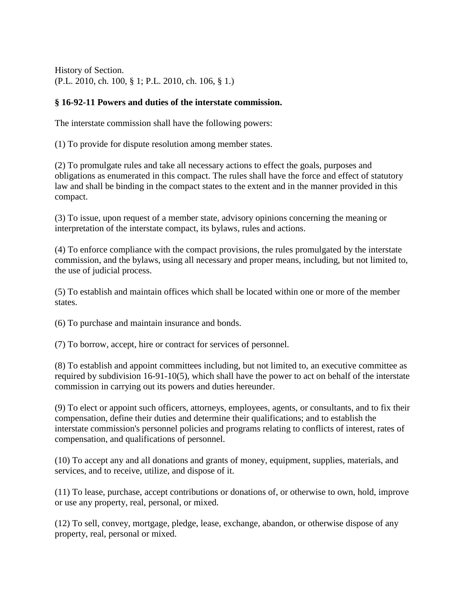## **§ 16-92-11 Powers and duties of the interstate commission.**

The interstate commission shall have the following powers:

(1) To provide for dispute resolution among member states.

(2) To promulgate rules and take all necessary actions to effect the goals, purposes and obligations as enumerated in this compact. The rules shall have the force and effect of statutory law and shall be binding in the compact states to the extent and in the manner provided in this compact.

(3) To issue, upon request of a member state, advisory opinions concerning the meaning or interpretation of the interstate compact, its bylaws, rules and actions.

(4) To enforce compliance with the compact provisions, the rules promulgated by the interstate commission, and the bylaws, using all necessary and proper means, including, but not limited to, the use of judicial process.

(5) To establish and maintain offices which shall be located within one or more of the member states.

(6) To purchase and maintain insurance and bonds.

(7) To borrow, accept, hire or contract for services of personnel.

(8) To establish and appoint committees including, but not limited to, an executive committee as required by subdivision 16-91-10(5), which shall have the power to act on behalf of the interstate commission in carrying out its powers and duties hereunder.

(9) To elect or appoint such officers, attorneys, employees, agents, or consultants, and to fix their compensation, define their duties and determine their qualifications; and to establish the interstate commission's personnel policies and programs relating to conflicts of interest, rates of compensation, and qualifications of personnel.

(10) To accept any and all donations and grants of money, equipment, supplies, materials, and services, and to receive, utilize, and dispose of it.

(11) To lease, purchase, accept contributions or donations of, or otherwise to own, hold, improve or use any property, real, personal, or mixed.

(12) To sell, convey, mortgage, pledge, lease, exchange, abandon, or otherwise dispose of any property, real, personal or mixed.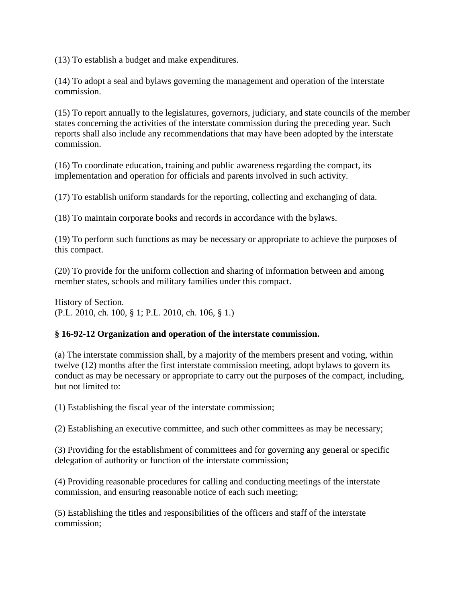(13) To establish a budget and make expenditures.

(14) To adopt a seal and bylaws governing the management and operation of the interstate commission.

(15) To report annually to the legislatures, governors, judiciary, and state councils of the member states concerning the activities of the interstate commission during the preceding year. Such reports shall also include any recommendations that may have been adopted by the interstate commission.

(16) To coordinate education, training and public awareness regarding the compact, its implementation and operation for officials and parents involved in such activity.

(17) To establish uniform standards for the reporting, collecting and exchanging of data.

(18) To maintain corporate books and records in accordance with the bylaws.

(19) To perform such functions as may be necessary or appropriate to achieve the purposes of this compact.

(20) To provide for the uniform collection and sharing of information between and among member states, schools and military families under this compact.

History of Section. (P.L. 2010, ch. 100, § 1; P.L. 2010, ch. 106, § 1.)

#### **§ 16-92-12 Organization and operation of the interstate commission.**

(a) The interstate commission shall, by a majority of the members present and voting, within twelve (12) months after the first interstate commission meeting, adopt bylaws to govern its conduct as may be necessary or appropriate to carry out the purposes of the compact, including, but not limited to:

(1) Establishing the fiscal year of the interstate commission;

(2) Establishing an executive committee, and such other committees as may be necessary;

(3) Providing for the establishment of committees and for governing any general or specific delegation of authority or function of the interstate commission;

(4) Providing reasonable procedures for calling and conducting meetings of the interstate commission, and ensuring reasonable notice of each such meeting;

(5) Establishing the titles and responsibilities of the officers and staff of the interstate commission;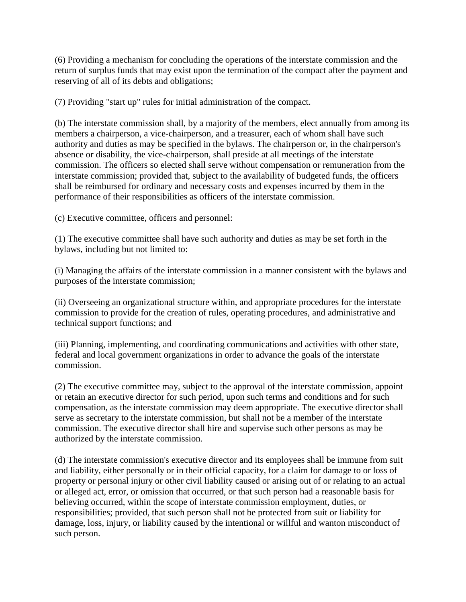(6) Providing a mechanism for concluding the operations of the interstate commission and the return of surplus funds that may exist upon the termination of the compact after the payment and reserving of all of its debts and obligations;

(7) Providing "start up" rules for initial administration of the compact.

(b) The interstate commission shall, by a majority of the members, elect annually from among its members a chairperson, a vice-chairperson, and a treasurer, each of whom shall have such authority and duties as may be specified in the bylaws. The chairperson or, in the chairperson's absence or disability, the vice-chairperson, shall preside at all meetings of the interstate commission. The officers so elected shall serve without compensation or remuneration from the interstate commission; provided that, subject to the availability of budgeted funds, the officers shall be reimbursed for ordinary and necessary costs and expenses incurred by them in the performance of their responsibilities as officers of the interstate commission.

(c) Executive committee, officers and personnel:

(1) The executive committee shall have such authority and duties as may be set forth in the bylaws, including but not limited to:

(i) Managing the affairs of the interstate commission in a manner consistent with the bylaws and purposes of the interstate commission;

(ii) Overseeing an organizational structure within, and appropriate procedures for the interstate commission to provide for the creation of rules, operating procedures, and administrative and technical support functions; and

(iii) Planning, implementing, and coordinating communications and activities with other state, federal and local government organizations in order to advance the goals of the interstate commission.

(2) The executive committee may, subject to the approval of the interstate commission, appoint or retain an executive director for such period, upon such terms and conditions and for such compensation, as the interstate commission may deem appropriate. The executive director shall serve as secretary to the interstate commission, but shall not be a member of the interstate commission. The executive director shall hire and supervise such other persons as may be authorized by the interstate commission.

(d) The interstate commission's executive director and its employees shall be immune from suit and liability, either personally or in their official capacity, for a claim for damage to or loss of property or personal injury or other civil liability caused or arising out of or relating to an actual or alleged act, error, or omission that occurred, or that such person had a reasonable basis for believing occurred, within the scope of interstate commission employment, duties, or responsibilities; provided, that such person shall not be protected from suit or liability for damage, loss, injury, or liability caused by the intentional or willful and wanton misconduct of such person.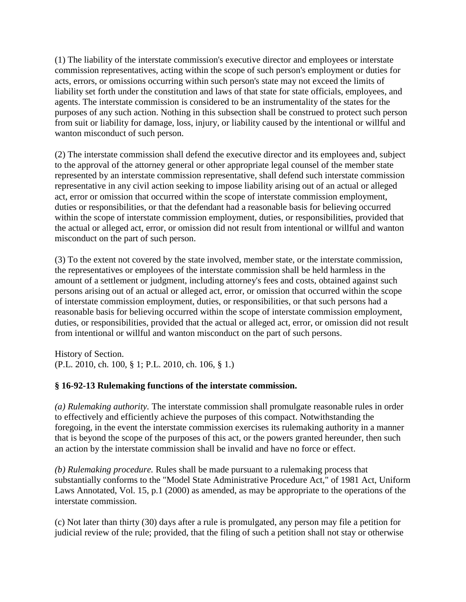(1) The liability of the interstate commission's executive director and employees or interstate commission representatives, acting within the scope of such person's employment or duties for acts, errors, or omissions occurring within such person's state may not exceed the limits of liability set forth under the constitution and laws of that state for state officials, employees, and agents. The interstate commission is considered to be an instrumentality of the states for the purposes of any such action. Nothing in this subsection shall be construed to protect such person from suit or liability for damage, loss, injury, or liability caused by the intentional or willful and wanton misconduct of such person.

(2) The interstate commission shall defend the executive director and its employees and, subject to the approval of the attorney general or other appropriate legal counsel of the member state represented by an interstate commission representative, shall defend such interstate commission representative in any civil action seeking to impose liability arising out of an actual or alleged act, error or omission that occurred within the scope of interstate commission employment, duties or responsibilities, or that the defendant had a reasonable basis for believing occurred within the scope of interstate commission employment, duties, or responsibilities, provided that the actual or alleged act, error, or omission did not result from intentional or willful and wanton misconduct on the part of such person.

(3) To the extent not covered by the state involved, member state, or the interstate commission, the representatives or employees of the interstate commission shall be held harmless in the amount of a settlement or judgment, including attorney's fees and costs, obtained against such persons arising out of an actual or alleged act, error, or omission that occurred within the scope of interstate commission employment, duties, or responsibilities, or that such persons had a reasonable basis for believing occurred within the scope of interstate commission employment, duties, or responsibilities, provided that the actual or alleged act, error, or omission did not result from intentional or willful and wanton misconduct on the part of such persons.

History of Section. (P.L. 2010, ch. 100, § 1; P.L. 2010, ch. 106, § 1.)

#### **§ 16-92-13 Rulemaking functions of the interstate commission.**

*(a) Rulemaking authority.* The interstate commission shall promulgate reasonable rules in order to effectively and efficiently achieve the purposes of this compact. Notwithstanding the foregoing, in the event the interstate commission exercises its rulemaking authority in a manner that is beyond the scope of the purposes of this act, or the powers granted hereunder, then such an action by the interstate commission shall be invalid and have no force or effect.

*(b) Rulemaking procedure.* Rules shall be made pursuant to a rulemaking process that substantially conforms to the "Model State Administrative Procedure Act," of 1981 Act, Uniform Laws Annotated, Vol. 15, p.1 (2000) as amended, as may be appropriate to the operations of the interstate commission.

(c) Not later than thirty (30) days after a rule is promulgated, any person may file a petition for judicial review of the rule; provided, that the filing of such a petition shall not stay or otherwise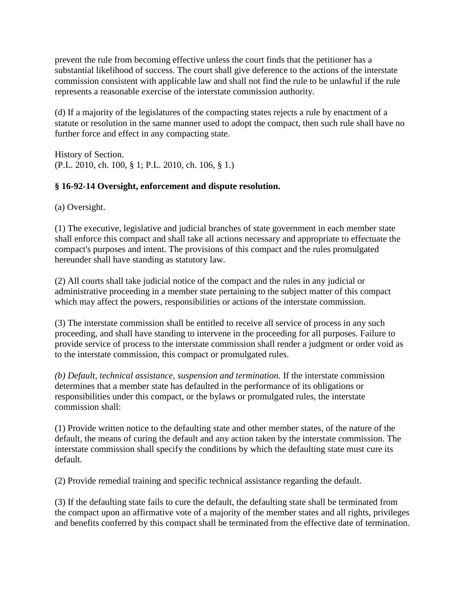prevent the rule from becoming effective unless the court finds that the petitioner has a substantial likelihood of success. The court shall give deference to the actions of the interstate commission consistent with applicable law and shall not find the rule to be unlawful if the rule represents a reasonable exercise of the interstate commission authority.

(d) If a majority of the legislatures of the compacting states rejects a rule by enactment of a statute or resolution in the same manner used to adopt the compact, then such rule shall have no further force and effect in any compacting state.

History of Section. (P.L. 2010, ch. 100, § 1; P.L. 2010, ch. 106, § 1.)

## **§ 16-92-14 Oversight, enforcement and dispute resolution.**

(a) Oversight.

(1) The executive, legislative and judicial branches of state government in each member state shall enforce this compact and shall take all actions necessary and appropriate to effectuate the compact's purposes and intent. The provisions of this compact and the rules promulgated hereunder shall have standing as statutory law.

(2) All courts shall take judicial notice of the compact and the rules in any judicial or administrative proceeding in a member state pertaining to the subject matter of this compact which may affect the powers, responsibilities or actions of the interstate commission.

(3) The interstate commission shall be entitled to receive all service of process in any such proceeding, and shall have standing to intervene in the proceeding for all purposes. Failure to provide service of process to the interstate commission shall render a judgment or order void as to the interstate commission, this compact or promulgated rules.

*(b) Default, technical assistance, suspension and termination.* If the interstate commission determines that a member state has defaulted in the performance of its obligations or responsibilities under this compact, or the bylaws or promulgated rules, the interstate commission shall:

(1) Provide written notice to the defaulting state and other member states, of the nature of the default, the means of curing the default and any action taken by the interstate commission. The interstate commission shall specify the conditions by which the defaulting state must cure its default.

(2) Provide remedial training and specific technical assistance regarding the default.

(3) If the defaulting state fails to cure the default, the defaulting state shall be terminated from the compact upon an affirmative vote of a majority of the member states and all rights, privileges and benefits conferred by this compact shall be terminated from the effective date of termination.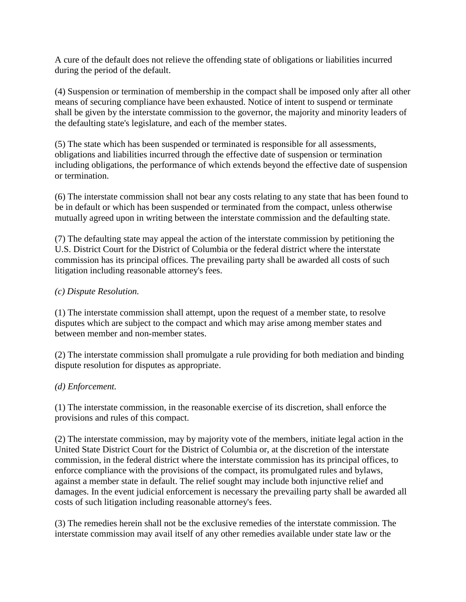A cure of the default does not relieve the offending state of obligations or liabilities incurred during the period of the default.

(4) Suspension or termination of membership in the compact shall be imposed only after all other means of securing compliance have been exhausted. Notice of intent to suspend or terminate shall be given by the interstate commission to the governor, the majority and minority leaders of the defaulting state's legislature, and each of the member states.

(5) The state which has been suspended or terminated is responsible for all assessments, obligations and liabilities incurred through the effective date of suspension or termination including obligations, the performance of which extends beyond the effective date of suspension or termination.

(6) The interstate commission shall not bear any costs relating to any state that has been found to be in default or which has been suspended or terminated from the compact, unless otherwise mutually agreed upon in writing between the interstate commission and the defaulting state.

(7) The defaulting state may appeal the action of the interstate commission by petitioning the U.S. District Court for the District of Columbia or the federal district where the interstate commission has its principal offices. The prevailing party shall be awarded all costs of such litigation including reasonable attorney's fees.

#### *(c) Dispute Resolution.*

(1) The interstate commission shall attempt, upon the request of a member state, to resolve disputes which are subject to the compact and which may arise among member states and between member and non-member states.

(2) The interstate commission shall promulgate a rule providing for both mediation and binding dispute resolution for disputes as appropriate.

#### *(d) Enforcement.*

(1) The interstate commission, in the reasonable exercise of its discretion, shall enforce the provisions and rules of this compact.

(2) The interstate commission, may by majority vote of the members, initiate legal action in the United State District Court for the District of Columbia or, at the discretion of the interstate commission, in the federal district where the interstate commission has its principal offices, to enforce compliance with the provisions of the compact, its promulgated rules and bylaws, against a member state in default. The relief sought may include both injunctive relief and damages. In the event judicial enforcement is necessary the prevailing party shall be awarded all costs of such litigation including reasonable attorney's fees.

(3) The remedies herein shall not be the exclusive remedies of the interstate commission. The interstate commission may avail itself of any other remedies available under state law or the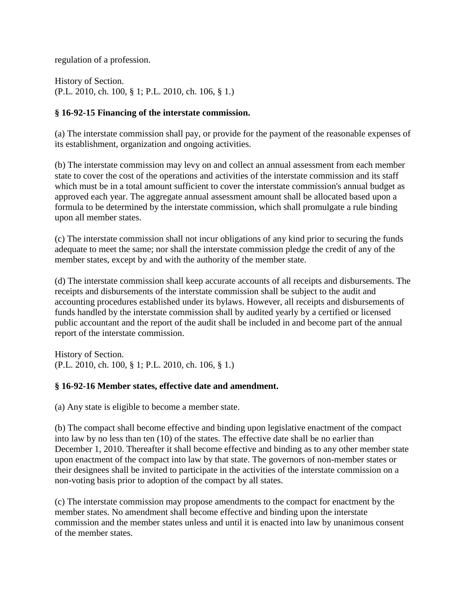regulation of a profession.

History of Section. (P.L. 2010, ch. 100, § 1; P.L. 2010, ch. 106, § 1.)

#### **§ 16-92-15 Financing of the interstate commission.**

(a) The interstate commission shall pay, or provide for the payment of the reasonable expenses of its establishment, organization and ongoing activities.

(b) The interstate commission may levy on and collect an annual assessment from each member state to cover the cost of the operations and activities of the interstate commission and its staff which must be in a total amount sufficient to cover the interstate commission's annual budget as approved each year. The aggregate annual assessment amount shall be allocated based upon a formula to be determined by the interstate commission, which shall promulgate a rule binding upon all member states.

(c) The interstate commission shall not incur obligations of any kind prior to securing the funds adequate to meet the same; nor shall the interstate commission pledge the credit of any of the member states, except by and with the authority of the member state.

(d) The interstate commission shall keep accurate accounts of all receipts and disbursements. The receipts and disbursements of the interstate commission shall be subject to the audit and accounting procedures established under its bylaws. However, all receipts and disbursements of funds handled by the interstate commission shall by audited yearly by a certified or licensed public accountant and the report of the audit shall be included in and become part of the annual report of the interstate commission.

History of Section. (P.L. 2010, ch. 100, § 1; P.L. 2010, ch. 106, § 1.)

#### **§ 16-92-16 Member states, effective date and amendment.**

(a) Any state is eligible to become a member state.

(b) The compact shall become effective and binding upon legislative enactment of the compact into law by no less than ten (10) of the states. The effective date shall be no earlier than December 1, 2010. Thereafter it shall become effective and binding as to any other member state upon enactment of the compact into law by that state. The governors of non-member states or their designees shall be invited to participate in the activities of the interstate commission on a non-voting basis prior to adoption of the compact by all states.

(c) The interstate commission may propose amendments to the compact for enactment by the member states. No amendment shall become effective and binding upon the interstate commission and the member states unless and until it is enacted into law by unanimous consent of the member states.